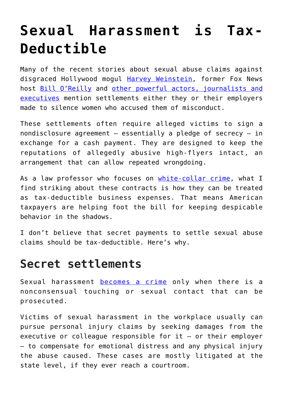## **[Sexual Harassment is Tax-](https://intellectualtakeout.org/2017/11/sexual-harassment-is-tax-deductible/)[Deductible](https://intellectualtakeout.org/2017/11/sexual-harassment-is-tax-deductible/)**

Many of the recent stories about sexual abuse claims against disgraced Hollywood mogul [Harvey Weinstein,](http://www.slate.com/blogs/the_slatest/2017/10/10/a_list_of_sexual_assault_and_harassment_allegations_against_harvey_weinstein.html) former Fox News host [Bill O'Reilly](https://www.gq.com/story/megyn-kelly-bill-oreilly-the-receipts) and [other powerful actors, journalists and](http://wjla.com/news/entertainment/looking-back-at-the-sexual-harassment-media-stories-that-dominated-coverage-this-year) [executives](http://wjla.com/news/entertainment/looking-back-at-the-sexual-harassment-media-stories-that-dominated-coverage-this-year) mention settlements either they or their employers made to silence women who accused them of misconduct.

These settlements often require alleged victims to sign a nondisclosure agreement – essentially a pledge of secrecy – in exchange for a cash payment. They are designed to keep the reputations of allegedly abusive high-flyers intact, an arrangement that can allow repeated wrongdoing.

As a law professor who focuses on [white-collar crime,](https://papers.ssrn.com/sol3/cf_dev/AbsByAuth.cfm?per_id=182574) what I find striking about these contracts is how they can be treated as tax-deductible business expenses. That means American taxpayers are helping foot the bill for keeping despicable behavior in the shadows.

I don't believe that secret payments to settle sexual abuse claims should be tax-deductible. Here's why.

## **Secret settlements**

Sexual harassment [becomes a crime](https://www.eandblaw.com/employment-discrimination-blog/2016/02/04/sexual-harassment-at-work-a-crime/) only when there is a nonconsensual touching or sexual contact that can be prosecuted.

Victims of sexual harassment in the workplace usually can pursue personal injury claims by seeking damages from the executive or colleague responsible for  $it - or their employer$ – to compensate for emotional distress and any physical injury the abuse caused. These cases are mostly litigated at the state level, if they ever reach a courtroom.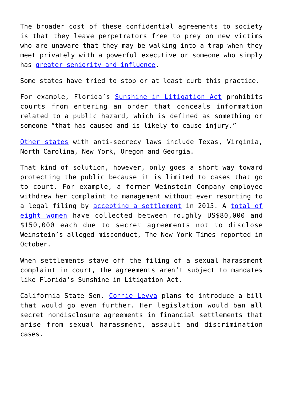The broader cost of these confidential agreements to society is that they leave perpetrators free to prey on new victims who are unaware that they may be walking into a trap when they meet privately with a powerful executive or someone who simply has [greater seniority and influence.](https://www.washingtonian.com/2017/11/01/matt-taibbi-politics-prose-event-canceled-sidwell/)

Some states have tried to stop or at least curb this practice.

For example, Florida's [Sunshine in Litigation Act](http://www.leg.state.fl.us/statutes/index.cfm?App_mode=Display_Statute&Search_String=&URL=0000-0099/0069/Sections/0069.081.html) prohibits courts from entering an order that conceals information related to a public hazard, which is defined as something or someone "that has caused and is likely to cause injury."

[Other states](https://www.rcfp.org/secret-justice-alternative-dispute-resolution/secret-settlements-hazardous-cases) with anti-secrecy laws include Texas, Virginia, North Carolina, New York, Oregon and Georgia.

That kind of solution, however, only goes a short way toward protecting the public because it is limited to cases that go to court. For example, a former Weinstein Company employee withdrew her complaint to management without ever resorting to a legal filing by [accepting a settlement](https://www.boston.com/culture/entertainment/2017/10/12/weinstein-co-may-have-known-of-settlements-since-2015) in 2015. A [total of](https://www.nytimes.com/2017/10/05/us/harvey-weinstein-harassment-allegations.html?_r=0) [eight women](https://www.nytimes.com/2017/10/05/us/harvey-weinstein-harassment-allegations.html?_r=0) have collected between roughly US\$80,000 and \$150,000 each due to secret agreements not to disclose Weinstein's alleged misconduct, The New York Times reported in October.

When settlements stave off the filing of a sexual harassment complaint in court, the agreements aren't subject to mandates like Florida's Sunshine in Litigation Act.

California State Sen. [Connie Leyva](http://variety.com/2017/biz/news/bill-settlement-ban-sexual-harassment-harvey-weinstein-1202593778/) plans to introduce a bill that would go even further. Her legislation would ban all secret nondisclosure agreements in financial settlements that arise from sexual harassment, assault and discrimination cases.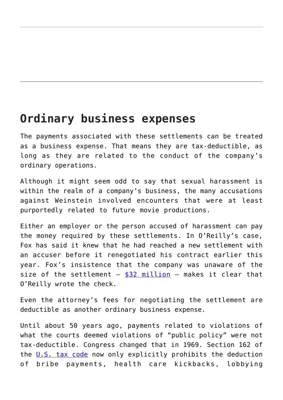## **Ordinary business expenses**

The payments associated with these settlements can be treated as a business expense. That means they are tax-deductible, as long as they are related to the conduct of the company's ordinary operations.

Although it might seem odd to say that sexual harassment is within the realm of a company's business, the many accusations against Weinstein involved encounters that were at least purportedly related to future movie productions.

Either an employer or the person accused of harassment can pay the money required by these settlements. In O'Reilly's case, Fox has said it knew that he had reached a new settlement with an accuser before it renegotiated his contract earlier this year. Fox's insistence that the company was unaware of the size of the settlement  $-$  [\\$32 million](http://deadline.com/2017/10/james-murdoch-oreilly-settlement-was-news-to-me-1202194410/)  $-$  makes it clear that O'Reilly wrote the check.

Even the attorney's fees for negotiating the settlement are deductible as another ordinary business expense.

Until about 50 years ago, payments related to violations of what the courts deemed violations of "public policy" were not tax-deductible. Congress changed that in 1969. Section 162 of the [U.S. tax code](https://www.law.cornell.edu/uscode/text/26/162) now only explicitly prohibits the deduction of bribe payments, health care kickbacks, lobbying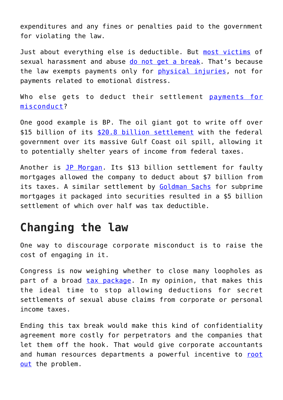expenditures and any fines or penalties paid to the government for violating the law.

Just about everything else is deductible. But [most victims](http://www.queensemploymentattorney.com/blog/2016/03/is-income-from-a-sexual-harassment-settlement-taxable/) of sexual harassment and abuse [do not get a break](http://californiaceo.net/tax-planning-sexual-harassment-claims). That's because the law exempts payments only for [physical injuries,](https://www.law.cornell.edu/uscode/text/26/104) not for payments related to emotional distress.

Who else gets to deduct their settlement [payments for](https://uspirgedfund.org/sites/pirg/files/reports/USPIRG_SettlementsReport.pdf) [misconduct?](https://uspirgedfund.org/sites/pirg/files/reports/USPIRG_SettlementsReport.pdf)

One good example is BP. The oil giant got to write off over \$15 billion of its [\\$20.8 billion settlement](https://www.forbes.com/sites/robertwood/2015/10/06/bps-20-8-billion-gulf-spill-settlement-nets-15-3-billion-tax-write-off/#2ef4a0c25c5b) with the federal government over its massive Gulf Coast oil spill, allowing it to potentially shelter years of income from federal taxes.

Another is [JP Morgan.](http://www.businessinsider.com/tax-deductible-of-jp-morgan-settlement-2013-11) Its \$13 billion settlement for faulty mortgages allowed the company to deduct about \$7 billion from its taxes. A similar settlement by [Goldman Sachs](https://newrepublic.com/article/132628/goldman-sachs-settlement-5-billion-sham) for subprime mortgages it packaged into securities resulted in a \$5 billion settlement of which over half was tax deductible.

## **Changing the law**

One way to discourage corporate misconduct is to raise the cost of engaging in it.

Congress is now weighing whether to close many loopholes as part of a broad [tax package](https://www.pbs.org/newshour/politics/gop-tax-bill-would-be-broadest-tax-code-rewrite-in-30-years). In my opinion, that makes this the ideal time to stop allowing deductions for secret settlements of sexual abuse claims from corporate or personal income taxes.

Ending this tax break would make this kind of confidentiality agreement more costly for perpetrators and the companies that let them off the hook. That would give corporate accountants and human resources departments a powerful incentive to [root](https://theconversation.com/how-companies-can-learn-to-root-out-sexual-harassment-85862) [out](https://theconversation.com/how-companies-can-learn-to-root-out-sexual-harassment-85862) the problem.